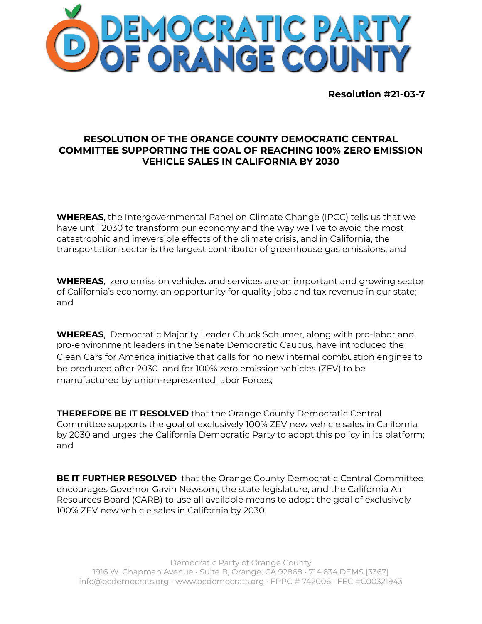

**Resolution #21-03-7**

## **RESOLUTION OF THE ORANGE COUNTY DEMOCRATIC CENTRAL COMMITTEE SUPPORTING THE GOAL OF REACHING 100% ZERO EMISSION VEHICLE SALES IN CALIFORNIA BY 2030**

**WHEREAS**, the Intergovernmental Panel on Climate Change (IPCC) tells us that we have until 2030 to transform our economy and the way we live to avoid the most catastrophic and irreversible effects of the climate crisis, and in California, the transportation sector is the largest contributor of greenhouse gas emissions; and

**WHEREAS**, zero emission vehicles and services are an important and growing sector of California's economy, an opportunity for quality jobs and tax revenue in our state; and

**WHEREAS**, Democratic Majority Leader Chuck Schumer, along with pro-labor and pro-environment leaders in the Senate Democratic Caucus, have introduced the Clean Cars for America initiative that calls for no new internal combustion engines to be produced after 2030 and for 100% zero emission vehicles (ZEV) to be manufactured by union-represented labor Forces;

**THEREFORE BE IT RESOLVED** that the Orange County Democratic Central Committee supports the goal of exclusively 100% ZEV new vehicle sales in California by 2030 and urges the California Democratic Party to adopt this policy in its platform; and

**BE IT FURTHER RESOLVED** that the Orange County Democratic Central Committee encourages Governor Gavin Newsom, the state legislature, and the California Air Resources Board (CARB) to use all available means to adopt the goal of exclusively 100% ZEV new vehicle sales in California by 2030.